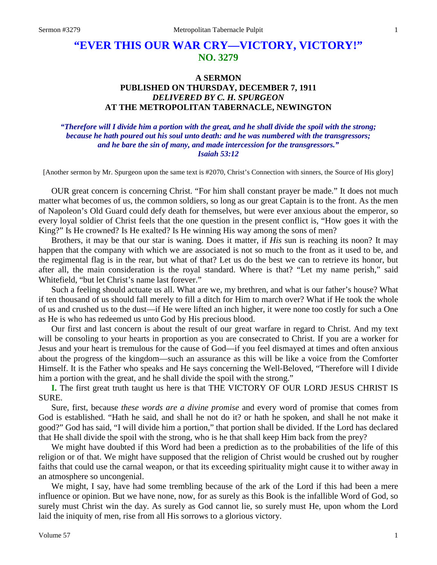# **"EVER THIS OUR WAR CRY—VICTORY, VICTORY!" NO. 3279**

## **A SERMON PUBLISHED ON THURSDAY, DECEMBER 7, 1911** *DELIVERED BY C. H. SPURGEON* **AT THE METROPOLITAN TABERNACLE, NEWINGTON**

#### *"Therefore will I divide him a portion with the great, and he shall divide the spoil with the strong; because he hath poured out his soul unto death: and he was numbered with the transgressors; and he bare the sin of many, and made intercession for the transgressors." Isaiah 53:12*

[Another sermon by Mr. Spurgeon upon the same text is #2070, Christ's Connection with sinners, the Source of His glory]

OUR great concern is concerning Christ. "For him shall constant prayer be made." It does not much matter what becomes of us, the common soldiers, so long as our great Captain is to the front. As the men of Napoleon's Old Guard could defy death for themselves, but were ever anxious about the emperor, so every loyal soldier of Christ feels that the one question in the present conflict is, "How goes it with the King?" Is He crowned? Is He exalted? Is He winning His way among the sons of men?

Brothers, it may be that our star is waning. Does it matter, if *His* sun is reaching its noon? It may happen that the company with which we are associated is not so much to the front as it used to be, and the regimental flag is in the rear, but what of that? Let us do the best we can to retrieve its honor, but after all, the main consideration is the royal standard. Where is that? "Let my name perish," said Whitefield, "but let Christ's name last forever."

Such a feeling should actuate us all. What are we, my brethren, and what is our father's house? What if ten thousand of us should fall merely to fill a ditch for Him to march over? What if He took the whole of us and crushed us to the dust—if He were lifted an inch higher, it were none too costly for such a One as He is who has redeemed us unto God by His precious blood.

Our first and last concern is about the result of our great warfare in regard to Christ. And my text will be consoling to your hearts in proportion as you are consecrated to Christ. If you are a worker for Jesus and your heart is tremulous for the cause of God—if you feel dismayed at times and often anxious about the progress of the kingdom—such an assurance as this will be like a voice from the Comforter Himself. It is the Father who speaks and He says concerning the Well-Beloved, "Therefore will I divide him a portion with the great, and he shall divide the spoil with the strong."

**I.** The first great truth taught us here is that THE VICTORY OF OUR LORD JESUS CHRIST IS SURE.

Sure, first, because *these words are a divine promise* and every word of promise that comes from God is established. "Hath he said, and shall he not do it? or hath he spoken, and shall he not make it good?" God has said, "I will divide him a portion," that portion shall be divided. If the Lord has declared that He shall divide the spoil with the strong, who is he that shall keep Him back from the prey?

We might have doubted if this Word had been a prediction as to the probabilities of the life of this religion or of that. We might have supposed that the religion of Christ would be crushed out by rougher faiths that could use the carnal weapon, or that its exceeding spirituality might cause it to wither away in an atmosphere so uncongenial.

We might, I say, have had some trembling because of the ark of the Lord if this had been a mere influence or opinion. But we have none, now, for as surely as this Book is the infallible Word of God, so surely must Christ win the day. As surely as God cannot lie, so surely must He, upon whom the Lord laid the iniquity of men, rise from all His sorrows to a glorious victory.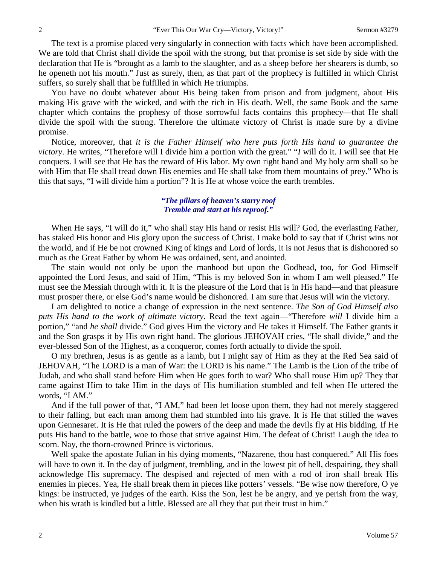The text is a promise placed very singularly in connection with facts which have been accomplished. We are told that Christ shall divide the spoil with the strong, but that promise is set side by side with the declaration that He is "brought as a lamb to the slaughter, and as a sheep before her shearers is dumb, so he openeth not his mouth." Just as surely, then, as that part of the prophecy is fulfilled in which Christ suffers, so surely shall that be fulfilled in which He triumphs.

You have no doubt whatever about His being taken from prison and from judgment, about His making His grave with the wicked, and with the rich in His death. Well, the same Book and the same chapter which contains the prophesy of those sorrowful facts contains this prophecy—that He shall divide the spoil with the strong. Therefore the ultimate victory of Christ is made sure by a divine promise.

Notice, moreover, that *it is the Father Himself who here puts forth His hand to guarantee the victory*. He writes, "Therefore will I divide him a portion with the great." "*I* will do it. I will see that He conquers. I will see that He has the reward of His labor. My own right hand and My holy arm shall so be with Him that He shall tread down His enemies and He shall take from them mountains of prey." Who is this that says, "I will divide him a portion"? It is He at whose voice the earth trembles.

### *"The pillars of heaven's starry roof Tremble and start at his reproof."*

When He says, "I will do it," who shall stay His hand or resist His will? God, the everlasting Father, has staked His honor and His glory upon the success of Christ. I make bold to say that if Christ wins not the world, and if He be not crowned King of kings and Lord of lords, it is not Jesus that is dishonored so much as the Great Father by whom He was ordained, sent, and anointed.

The stain would not only be upon the manhood but upon the Godhead, too, for God Himself appointed the Lord Jesus, and said of Him, "This is my beloved Son in whom I am well pleased." He must see the Messiah through with it. It is the pleasure of the Lord that is in His hand—and that pleasure must prosper there, or else God's name would be dishonored. I am sure that Jesus will win the victory.

I am delighted to notice a change of expression in the next sentence. *The Son of God Himself also puts His hand to the work of ultimate victory*. Read the text again—"Therefore *will* I divide him a portion," "and *he shall* divide." God gives Him the victory and He takes it Himself. The Father grants it and the Son grasps it by His own right hand. The glorious JEHOVAH cries, "He shall divide," and the ever-blessed Son of the Highest, as a conqueror, comes forth actually to divide the spoil.

O my brethren, Jesus is as gentle as a lamb, but I might say of Him as they at the Red Sea said of JEHOVAH, "The LORD is a man of War: the LORD is his name." The Lamb is the Lion of the tribe of Judah, and who shall stand before Him when He goes forth to war? Who shall rouse Him up? They that came against Him to take Him in the days of His humiliation stumbled and fell when He uttered the words, "I AM."

And if the full power of that, "I AM," had been let loose upon them, they had not merely staggered to their falling, but each man among them had stumbled into his grave. It is He that stilled the waves upon Gennesaret. It is He that ruled the powers of the deep and made the devils fly at His bidding. If He puts His hand to the battle, woe to those that strive against Him. The defeat of Christ! Laugh the idea to scorn. Nay, the thorn-crowned Prince is victorious.

Well spake the apostate Julian in his dying moments, "Nazarene, thou hast conquered." All His foes will have to own it. In the day of judgment, trembling, and in the lowest pit of hell, despairing, they shall acknowledge His supremacy. The despised and rejected of men with a rod of iron shall break His enemies in pieces. Yea, He shall break them in pieces like potters' vessels. "Be wise now therefore, O ye kings: be instructed, ye judges of the earth. Kiss the Son, lest he be angry, and ye perish from the way, when his wrath is kindled but a little. Blessed are all they that put their trust in him."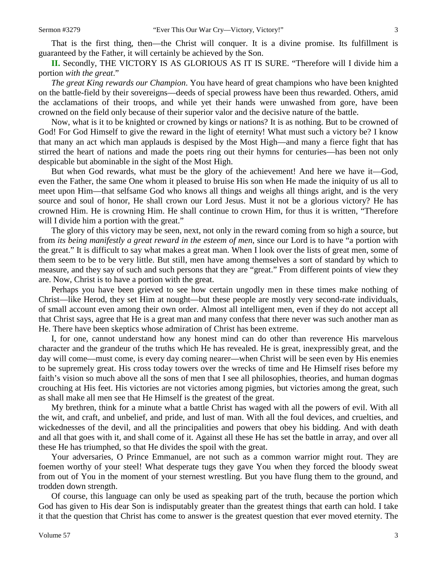That is the first thing, then—the Christ will conquer. It is a divine promise. Its fulfillment is guaranteed by the Father, it will certainly be achieved by the Son.

**II.** Secondly, THE VICTORY IS AS GLORIOUS AS IT IS SURE. "Therefore will I divide him a portion *with the great*."

*The great King rewards our Champion*. You have heard of great champions who have been knighted on the battle-field by their sovereigns—deeds of special prowess have been thus rewarded. Others, amid the acclamations of their troops, and while yet their hands were unwashed from gore, have been crowned on the field only because of their superior valor and the decisive nature of the battle.

Now, what is it to be knighted or crowned by kings or nations? It is as nothing. But to be crowned of God! For God Himself to give the reward in the light of eternity! What must such a victory be? I know that many an act which man applauds is despised by the Most High—and many a fierce fight that has stirred the heart of nations and made the poets ring out their hymns for centuries—has been not only despicable but abominable in the sight of the Most High.

But when God rewards, what must be the glory of the achievement! And here we have it—God, even the Father, the same One whom it pleased to bruise His son when He made the iniquity of us all to meet upon Him—that selfsame God who knows all things and weighs all things aright, and is the very source and soul of honor, He shall crown our Lord Jesus. Must it not be a glorious victory? He has crowned Him. He is crowning Him. He shall continue to crown Him, for thus it is written, "Therefore will I divide him a portion with the great."

The glory of this victory may be seen, next, not only in the reward coming from so high a source, but from *its being manifestly a great reward in the esteem of men*, since our Lord is to have "a portion with the great." It is difficult to say what makes a great man. When I look over the lists of great men, some of them seem to be to be very little. But still, men have among themselves a sort of standard by which to measure, and they say of such and such persons that they are "great." From different points of view they are. Now, Christ is to have a portion with the great.

Perhaps you have been grieved to see how certain ungodly men in these times make nothing of Christ—like Herod, they set Him at nought—but these people are mostly very second-rate individuals, of small account even among their own order. Almost all intelligent men, even if they do not accept all that Christ says, agree that He is a great man and many confess that there never was such another man as He. There have been skeptics whose admiration of Christ has been extreme.

I, for one, cannot understand how any honest mind can do other than reverence His marvelous character and the grandeur of the truths which He has revealed. He is great, inexpressibly great, and the day will come—must come, is every day coming nearer—when Christ will be seen even by His enemies to be supremely great. His cross today towers over the wrecks of time and He Himself rises before my faith's vision so much above all the sons of men that I see all philosophies, theories, and human dogmas crouching at His feet. His victories are not victories among pigmies, but victories among the great, such as shall make all men see that He Himself is the greatest of the great.

My brethren, think for a minute what a battle Christ has waged with all the powers of evil. With all the wit, and craft, and unbelief, and pride, and lust of man. With all the foul devices, and cruelties, and wickednesses of the devil, and all the principalities and powers that obey his bidding. And with death and all that goes with it, and shall come of it. Against all these He has set the battle in array, and over all these He has triumphed, so that He divides the spoil with the great.

Your adversaries, O Prince Emmanuel, are not such as a common warrior might rout. They are foemen worthy of your steel! What desperate tugs they gave You when they forced the bloody sweat from out of You in the moment of your sternest wrestling. But you have flung them to the ground, and trodden down strength.

Of course, this language can only be used as speaking part of the truth, because the portion which God has given to His dear Son is indisputably greater than the greatest things that earth can hold. I take it that the question that Christ has come to answer is the greatest question that ever moved eternity. The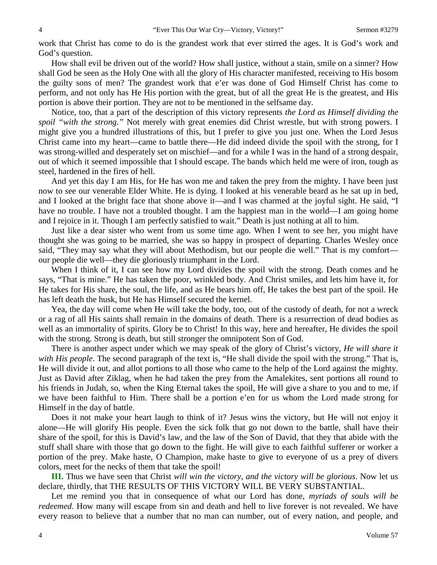work that Christ has come to do is the grandest work that ever stirred the ages. It is God's work and God's question.

How shall evil be driven out of the world? How shall justice, without a stain, smile on a sinner? How shall God be seen as the Holy One with all the glory of His character manifested, receiving to His bosom the guilty sons of men? The grandest work that e'er was done of God Himself Christ has come to perform, and not only has He His portion with the great, but of all the great He is the greatest, and His portion is above their portion. They are not to be mentioned in the selfsame day.

Notice, too, that a part of the description of this victory represents *the Lord as Himself dividing the spoil "with the strong."* Not merely with great enemies did Christ wrestle, but with strong powers. I might give you a hundred illustrations of this, but I prefer to give you just one. When the Lord Jesus Christ came into my heart—came to battle there—He did indeed divide the spoil with the strong, for I was strong-willed and desperately set on mischief—and for a while I was in the hand of a strong despair, out of which it seemed impossible that I should escape. The bands which held me were of iron, tough as steel, hardened in the fires of hell.

And yet this day I am His, for He has won me and taken the prey from the mighty. I have been just now to see our venerable Elder White. He is dying. I looked at his venerable beard as he sat up in bed, and I looked at the bright face that shone above it—and I was charmed at the joyful sight. He said, "I have no trouble. I have not a troubled thought. I am the happiest man in the world—I am going home and I rejoice in it. Though I am perfectly satisfied to wait." Death is just nothing at all to him.

Just like a dear sister who went from us some time ago. When I went to see her, you might have thought she was going to be married, she was so happy in prospect of departing. Charles Wesley once said, "They may say what they will about Methodism, but our people die well." That is my comfort our people die well—they die gloriously triumphant in the Lord.

When I think of it, I can see how my Lord divides the spoil with the strong. Death comes and he says, "That is mine." He has taken the poor, wrinkled body. And Christ smiles, and lets him have it, for He takes for His share, the soul, the life, and as He bears him off, He takes the best part of the spoil. He has left death the husk, but He has Himself secured the kernel.

Yea, the day will come when He will take the body, too, out of the custody of death, for not a wreck or a rag of all His saints shall remain in the domains of death. There is a resurrection of dead bodies as well as an immortality of spirits. Glory be to Christ! In this way, here and hereafter, He divides the spoil with the strong. Strong is death, but still stronger the omnipotent Son of God.

There is another aspect under which we may speak of the glory of Christ's victory, *He will share it with His people*. The second paragraph of the text is, "He shall divide the spoil with the strong." That is, He will divide it out, and allot portions to all those who came to the help of the Lord against the mighty. Just as David after Ziklag, when he had taken the prey from the Amalekites, sent portions all round to his friends in Judah, so, when the King Eternal takes the spoil, He will give a share to you and to me, if we have been faithful to Him. There shall be a portion e'en for us whom the Lord made strong for Himself in the day of battle.

Does it not make your heart laugh to think of it? Jesus wins the victory, but He will not enjoy it alone—He will glorify His people. Even the sick folk that go not down to the battle, shall have their share of the spoil, for this is David's law, and the law of the Son of David, that they that abide with the stuff shall share with those that go down to the fight. He will give to each faithful sufferer or worker a portion of the prey. Make haste, O Champion, make haste to give to everyone of us a prey of divers colors, meet for the necks of them that take the spoil!

**III.** Thus we have seen that Christ *will win the victory, and the victory will be glorious*. Now let us declare, thirdly, that THE RESULTS OF THIS VICTORY WILL BE VERY SUBSTANTIAL.

Let me remind you that in consequence of what our Lord has done, *myriads of souls will be redeemed*. How many will escape from sin and death and hell to live forever is not revealed. We have every reason to believe that a number that no man can number, out of every nation, and people, and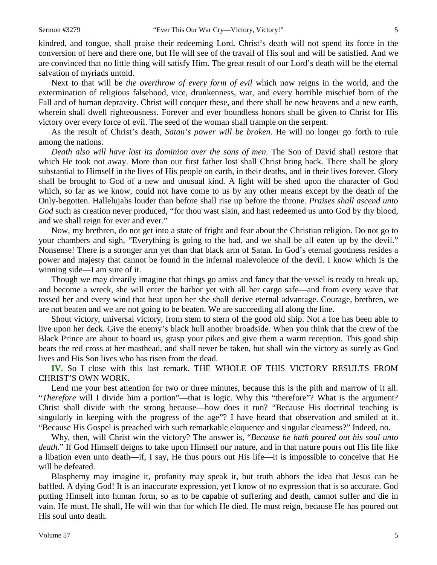kindred, and tongue, shall praise their redeeming Lord. Christ's death will not spend its force in the conversion of here and there one, but He will see of the travail of His soul and will be satisfied. And we are convinced that no little thing will satisfy Him. The great result of our Lord's death will be the eternal salvation of myriads untold.

Next to that will be *the overthrow of every form of evil* which now reigns in the world, and the extermination of religious falsehood, vice, drunkenness, war, and every horrible mischief born of the Fall and of human depravity. Christ will conquer these, and there shall be new heavens and a new earth, wherein shall dwell righteousness. Forever and ever boundless honors shall be given to Christ for His victory over every force of evil. The seed of the woman shall trample on the serpent.

As the result of Christ's death, *Satan's power will be broken*. He will no longer go forth to rule among the nations.

*Death also will have lost its dominion over the sons of men*. The Son of David shall restore that which He took not away. More than our first father lost shall Christ bring back. There shall be glory substantial to Himself in the lives of His people on earth, in their deaths, and in their lives forever. Glory shall be brought to God of a new and unusual kind. A light will be shed upon the character of God which, so far as we know, could not have come to us by any other means except by the death of the Only-begotten. Hallelujahs louder than before shall rise up before the throne. *Praises shall ascend unto God* such as creation never produced, "for thou wast slain, and hast redeemed us unto God by thy blood, and we shall reign for ever and ever."

Now, my brethren, do not get into a state of fright and fear about the Christian religion. Do not go to your chambers and sigh, "Everything is going to the bad, and we shall be all eaten up by the devil." Nonsense! There is a stronger arm yet than that black arm of Satan. In God's eternal goodness resides a power and majesty that cannot be found in the infernal malevolence of the devil. I know which is the winning side—I am sure of it.

Though we may drearily imagine that things go amiss and fancy that the vessel is ready to break up, and become a wreck, she will enter the harbor yet with all her cargo safe—and from every wave that tossed her and every wind that beat upon her she shall derive eternal advantage. Courage, brethren, we are not beaten and we are not going to be beaten. We are succeeding all along the line.

Shout victory, universal victory, from stem to stern of the good old ship. Not a foe has been able to live upon her deck. Give the enemy's black hull another broadside. When you think that the crew of the Black Prince are about to board us, grasp your pikes and give them a warm reception. This good ship bears the red cross at her masthead, and shall never be taken, but shall win the victory as surely as God lives and His Son lives who has risen from the dead.

**IV.** So I close with this last remark. THE WHOLE OF THIS VICTORY RESULTS FROM CHRIST'S OWN WORK.

Lend me your best attention for two or three minutes, because this is the pith and marrow of it all. "*Therefore* will I divide him a portion"—that is logic. Why this "therefore"? What is the argument? Christ shall divide with the strong because—how does it run? "Because His doctrinal teaching is singularly in keeping with the progress of the age"? I have heard that observation and smiled at it. "Because His Gospel is preached with such remarkable eloquence and singular clearness?" Indeed, no.

Why, then, will Christ win the victory? The answer is, "*Because he hath poured out his soul unto death.*" If God Himself deigns to take upon Himself our nature, and in that nature pours out His life like a libation even unto death—if, I say, He thus pours out His life—it is impossible to conceive that He will be defeated.

Blasphemy may imagine it, profanity may speak it, but truth abhors the idea that Jesus can be baffled. A dying God! It is an inaccurate expression, yet I know of no expression that is so accurate. God putting Himself into human form, so as to be capable of suffering and death, cannot suffer and die in vain. He must, He shall, He will win that for which He died. He must reign, because He has poured out His soul unto death.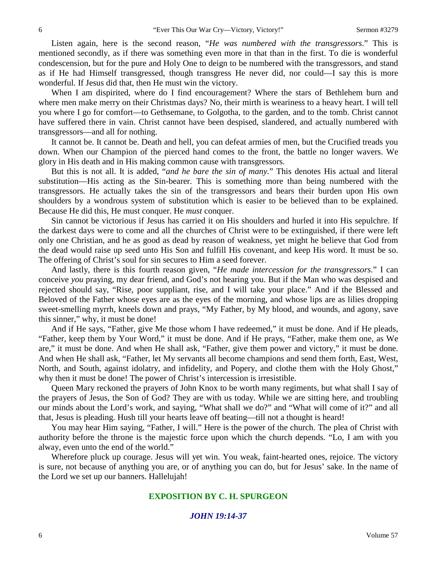Listen again, here is the second reason, "*He was numbered with the transgressors*." This is mentioned secondly, as if there was something even more in that than in the first. To die is wonderful condescension, but for the pure and Holy One to deign to be numbered with the transgressors, and stand as if He had Himself transgressed, though transgress He never did, nor could—I say this is more wonderful. If Jesus did that, then He must win the victory.

When I am dispirited, where do I find encouragement? Where the stars of Bethlehem burn and where men make merry on their Christmas days? No, their mirth is weariness to a heavy heart. I will tell you where I go for comfort—to Gethsemane, to Golgotha, to the garden, and to the tomb. Christ cannot have suffered there in vain. Christ cannot have been despised, slandered, and actually numbered with transgressors—and all for nothing.

It cannot be. It cannot be. Death and hell, you can defeat armies of men, but the Crucified treads you down. When our Champion of the pierced hand comes to the front, the battle no longer wavers. We glory in His death and in His making common cause with transgressors.

But this is not all. It is added, "*and he bare the sin of many.*" This denotes His actual and literal substitution—His acting as the Sin-bearer. This is something more than being numbered with the transgressors. He actually takes the sin of the transgressors and bears their burden upon His own shoulders by a wondrous system of substitution which is easier to be believed than to be explained. Because He did this, He must conquer. He *must* conquer.

Sin cannot be victorious if Jesus has carried it on His shoulders and hurled it into His sepulchre. If the darkest days were to come and all the churches of Christ were to be extinguished, if there were left only one Christian, and he as good as dead by reason of weakness, yet might he believe that God from the dead would raise up seed unto His Son and fulfill His covenant, and keep His word. It must be so. The offering of Christ's soul for sin secures to Him a seed forever.

And lastly, there is this fourth reason given, "*He made intercession for the transgressors.*" I can conceive *you* praying, my dear friend, and God's not hearing you. But if the Man who was despised and rejected should say, "Rise, poor suppliant, rise, and I will take your place." And if the Blessed and Beloved of the Father whose eyes are as the eyes of the morning, and whose lips are as lilies dropping sweet-smelling myrrh, kneels down and prays, "My Father, by My blood, and wounds, and agony, save this sinner," why, it must be done!

And if He says, "Father, give Me those whom I have redeemed," it must be done. And if He pleads, "Father, keep them by Your Word," it must be done. And if He prays, "Father, make them one, as We are," it must be done. And when He shall ask, "Father, give them power and victory," it must be done. And when He shall ask, "Father, let My servants all become champions and send them forth, East, West, North, and South, against idolatry, and infidelity, and Popery, and clothe them with the Holy Ghost," why then it must be done! The power of Christ's intercession is irresistible.

Queen Mary reckoned the prayers of John Knox to be worth many regiments, but what shall I say of the prayers of Jesus, the Son of God? They are with us today. While we are sitting here, and troubling our minds about the Lord's work, and saying, "What shall we do?" and "What will come of it?" and all that, Jesus is pleading. Hush till your hearts leave off beating—till not a thought is heard!

You may hear Him saying, "Father, I will." Here is the power of the church. The plea of Christ with authority before the throne is the majestic force upon which the church depends. "Lo, I am with you alway, even unto the end of the world."

Wherefore pluck up courage. Jesus will yet win. You weak, faint-hearted ones, rejoice. The victory is sure, not because of anything you are, or of anything you can do, but for Jesus' sake. In the name of the Lord we set up our banners. Hallelujah!

#### **EXPOSITION BY C. H. SPURGEON**

#### *JOHN 19:14-37*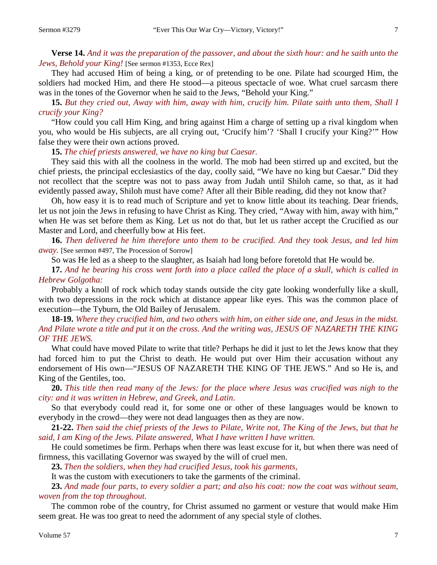**Verse 14.** *And it was the preparation of the passover, and about the sixth hour: and he saith unto the Jews, Behold your King!* [See sermon #1353, Ecce Rex]

They had accused Him of being a king, or of pretending to be one. Pilate had scourged Him, the soldiers had mocked Him, and there He stood—a piteous spectacle of woe. What cruel sarcasm there was in the tones of the Governor when he said to the Jews, "Behold your King."

**15.** *But they cried out, Away with him, away with him, crucify him. Pilate saith unto them, Shall I crucify your King?*

"How could you call Him King, and bring against Him a charge of setting up a rival kingdom when you, who would be His subjects, are all crying out, 'Crucify him'? 'Shall I crucify your King?'" How false they were their own actions proved.

**15.** *The chief priests answered, we have no king but Caesar.* 

They said this with all the coolness in the world. The mob had been stirred up and excited, but the chief priests, the principal ecclesiastics of the day, coolly said, "We have no king but Caesar." Did they not recollect that the sceptre was not to pass away from Judah until Shiloh came, so that, as it had evidently passed away, Shiloh must have come? After all their Bible reading, did they not know that?

Oh, how easy it is to read much of Scripture and yet to know little about its teaching. Dear friends, let us not join the Jews in refusing to have Christ as King. They cried, "Away with him, away with him," when He was set before them as King. Let us not do that, but let us rather accept the Crucified as our Master and Lord, and cheerfully bow at His feet.

**16.** *Then delivered he him therefore unto them to be crucified. And they took Jesus, and led him away*. [See sermon #497, The Procession of Sorrow]

So was He led as a sheep to the slaughter, as Isaiah had long before foretold that He would be.

**17.** *And he bearing his cross went forth into a place called the place of a skull, which is called in Hebrew Golgotha:*

Probably a knoll of rock which today stands outside the city gate looking wonderfully like a skull, with two depressions in the rock which at distance appear like eyes. This was the common place of execution—the Tyburn, the Old Bailey of Jerusalem.

**18-19.** *Where they crucified him, and two others with him, on either side one, and Jesus in the midst. And Pilate wrote a title and put it on the cross. And the writing was, JESUS OF NAZARETH THE KING OF THE JEWS.* 

What could have moved Pilate to write that title? Perhaps he did it just to let the Jews know that they had forced him to put the Christ to death. He would put over Him their accusation without any endorsement of His own—"JESUS OF NAZARETH THE KING OF THE JEWS." And so He is, and King of the Gentiles, too.

**20.** *This title then read many of the Jews: for the place where Jesus was crucified was nigh to the city: and it was written in Hebrew, and Greek, and Latin.* 

So that everybody could read it, for some one or other of these languages would be known to everybody in the crowd—they were not dead languages then as they are now.

**21-22.** *Then said the chief priests of the Jews to Pilate, Write not, The King of the Jews, but that he said, I am King of the Jews. Pilate answered, What I have written I have written.* 

He could sometimes be firm. Perhaps when there was least excuse for it, but when there was need of firmness, this vacillating Governor was swayed by the will of cruel men.

**23.** *Then the soldiers, when they had crucified Jesus, took his garments,*

It was the custom with executioners to take the garments of the criminal.

**23.** *And made four parts, to every soldier a part; and also his coat: now the coat was without seam, woven from the top throughout.* 

The common robe of the country, for Christ assumed no garment or vesture that would make Him seem great. He was too great to need the adornment of any special style of clothes.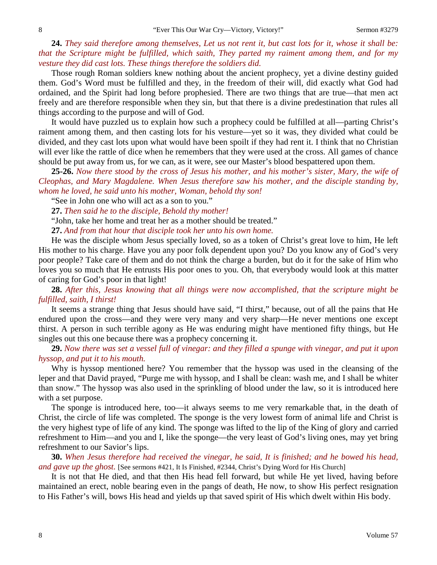**24.** *They said therefore among themselves, Let us not rent it, but cast lots for it, whose it shall be: that the Scripture might be fulfilled, which saith, They parted my raiment among them, and for my vesture they did cast lots. These things therefore the soldiers did.* 

Those rough Roman soldiers knew nothing about the ancient prophecy, yet a divine destiny guided them. God's Word must be fulfilled and they, in the freedom of their will, did exactly what God had ordained, and the Spirit had long before prophesied. There are two things that are true—that men act freely and are therefore responsible when they sin, but that there is a divine predestination that rules all things according to the purpose and will of God.

It would have puzzled us to explain how such a prophecy could be fulfilled at all—parting Christ's raiment among them, and then casting lots for his vesture—yet so it was, they divided what could be divided, and they cast lots upon what would have been spoilt if they had rent it. I think that no Christian will ever like the rattle of dice when he remembers that they were used at the cross. All games of chance should be put away from us, for we can, as it were, see our Master's blood bespattered upon them.

**25-26.** *Now there stood by the cross of Jesus his mother, and his mother's sister, Mary, the wife of Cleophas, and Mary Magdalene. When Jesus therefore saw his mother, and the disciple standing by, whom he loved, he said unto his mother, Woman, behold thy son!*

"See in John one who will act as a son to you."

**27.** *Then said he to the disciple, Behold thy mother!*

"John, take her home and treat her as a mother should be treated."

**27.** *And from that hour that disciple took her unto his own home.* 

He was the disciple whom Jesus specially loved, so as a token of Christ's great love to him, He left His mother to his charge. Have you any poor folk dependent upon you? Do you know any of God's very poor people? Take care of them and do not think the charge a burden, but do it for the sake of Him who loves you so much that He entrusts His poor ones to you. Oh, that everybody would look at this matter of caring for God's poor in that light!

**28.** *After this, Jesus knowing that all things were now accomplished, that the scripture might be fulfilled, saith, I thirst!*

It seems a strange thing that Jesus should have said, "I thirst," because, out of all the pains that He endured upon the cross—and they were very many and very sharp—He never mentions one except thirst. A person in such terrible agony as He was enduring might have mentioned fifty things, but He singles out this one because there was a prophecy concerning it.

**29.** *Now there was set a vessel full of vinegar: and they filled a spunge with vinegar, and put it upon hyssop, and put it to his mouth.* 

Why is hyssop mentioned here? You remember that the hyssop was used in the cleansing of the leper and that David prayed, "Purge me with hyssop, and I shall be clean: wash me, and I shall be whiter than snow." The hyssop was also used in the sprinkling of blood under the law, so it is introduced here with a set purpose.

The sponge is introduced here, too—it always seems to me very remarkable that, in the death of Christ, the circle of life was completed. The sponge is the very lowest form of animal life and Christ is the very highest type of life of any kind. The sponge was lifted to the lip of the King of glory and carried refreshment to Him—and you and I, like the sponge—the very least of God's living ones, may yet bring refreshment to our Savior's lips.

**30.** *When Jesus therefore had received the vinegar, he said, It is finished; and he bowed his head, and gave up the ghost.* [See sermons #421, It Is Finished, #2344, Christ's Dying Word for His Church]

It is not that He died, and that then His head fell forward, but while He yet lived, having before maintained an erect, noble bearing even in the pangs of death, He now, to show His perfect resignation to His Father's will, bows His head and yields up that saved spirit of His which dwelt within His body.